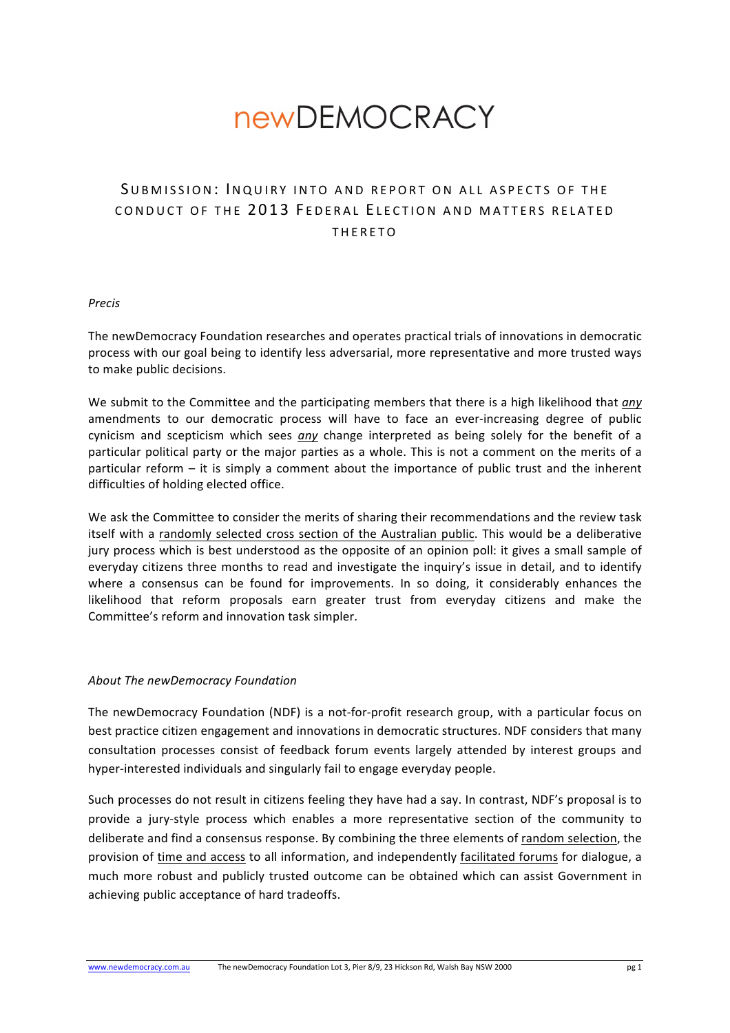# **newDEMOCRACY**

# SUBMISSION: INQUIRY INTO AND REPORT ON ALL ASPECTS OF THE CONDUCT OF THE 2013 FEDERAL FIECTION AND MATTERS RELATED THERETO

#### *Precis*

The newDemocracy Foundation researches and operates practical trials of innovations in democratic process with our goal being to identify less adversarial, more representative and more trusted ways to make public decisions.

We submit to the Committee and the participating members that there is a high likelihood that *any* amendments to our democratic process will have to face an ever-increasing degree of public cynicism and scepticism which sees any change interpreted as being solely for the benefit of a particular political party or the major parties as a whole. This is not a comment on the merits of a particular reform  $-$  it is simply a comment about the importance of public trust and the inherent difficulties of holding elected office.

We ask the Committee to consider the merits of sharing their recommendations and the review task itself with a randomly selected cross section of the Australian public. This would be a deliberative jury process which is best understood as the opposite of an opinion poll: it gives a small sample of everyday citizens three months to read and investigate the inquiry's issue in detail, and to identify where a consensus can be found for improvements. In so doing, it considerably enhances the likelihood that reform proposals earn greater trust from everyday citizens and make the Committee's reform and innovation task simpler.

#### *About The newDemocracy Foundation*

The newDemocracy Foundation (NDF) is a not-for-profit research group, with a particular focus on best practice citizen engagement and innovations in democratic structures. NDF considers that many consultation processes consist of feedback forum events largely attended by interest groups and hyper-interested individuals and singularly fail to engage everyday people.

Such processes do not result in citizens feeling they have had a say. In contrast, NDF's proposal is to provide a jury-style process which enables a more representative section of the community to deliberate and find a consensus response. By combining the three elements of random selection, the provision of time and access to all information, and independently facilitated forums for dialogue, a much more robust and publicly trusted outcome can be obtained which can assist Government in achieving public acceptance of hard tradeoffs.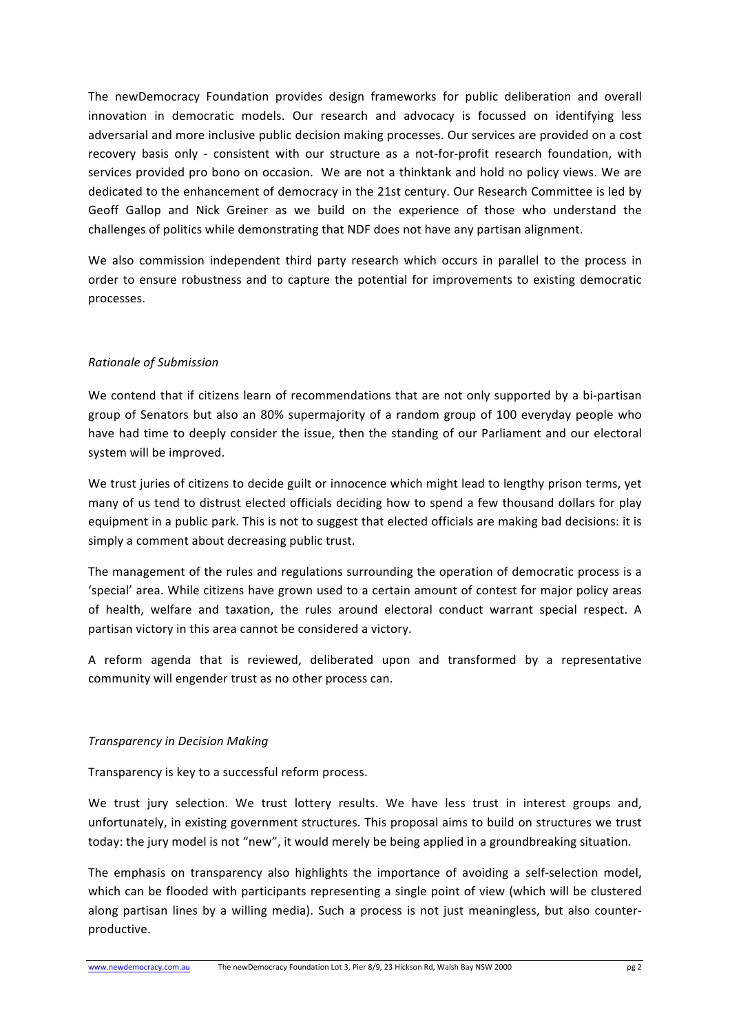The newDemocracy Foundation provides design frameworks for public deliberation and overall innovation in democratic models. Our research and advocacy is focussed on identifying less adversarial and more inclusive public decision making processes. Our services are provided on a cost recovery basis only - consistent with our structure as a not-for-profit research foundation, with services provided pro bono on occasion. We are not a thinktank and hold no policy views. We are dedicated to the enhancement of democracy in the 21st century. Our Research Committee is led by Geoff Gallop and Nick Greiner as we build on the experience of those who understand the challenges of politics while demonstrating that NDF does not have any partisan alignment.

We also commission independent third party research which occurs in parallel to the process in order to ensure robustness and to capture the potential for improvements to existing democratic processes. 

## *Rationale of Submission*

We contend that if citizens learn of recommendations that are not only supported by a bi-partisan group of Senators but also an 80% supermajority of a random group of 100 everyday people who have had time to deeply consider the issue, then the standing of our Parliament and our electoral system will be improved.

We trust juries of citizens to decide guilt or innocence which might lead to lengthy prison terms, yet many of us tend to distrust elected officials deciding how to spend a few thousand dollars for play equipment in a public park. This is not to suggest that elected officials are making bad decisions: it is simply a comment about decreasing public trust.

The management of the rules and regulations surrounding the operation of democratic process is a 'special' area. While citizens have grown used to a certain amount of contest for major policy areas of health, welfare and taxation, the rules around electoral conduct warrant special respect. A partisan victory in this area cannot be considered a victory.

A reform agenda that is reviewed, deliberated upon and transformed by a representative community will engender trust as no other process can.

#### *Transparency in Decision Making*

Transparency is key to a successful reform process.

We trust jury selection. We trust lottery results. We have less trust in interest groups and, unfortunately, in existing government structures. This proposal aims to build on structures we trust today: the jury model is not "new", it would merely be being applied in a groundbreaking situation.

The emphasis on transparency also highlights the importance of avoiding a self-selection model, which can be flooded with participants representing a single point of view (which will be clustered along partisan lines by a willing media). Such a process is not just meaningless, but also counterproductive.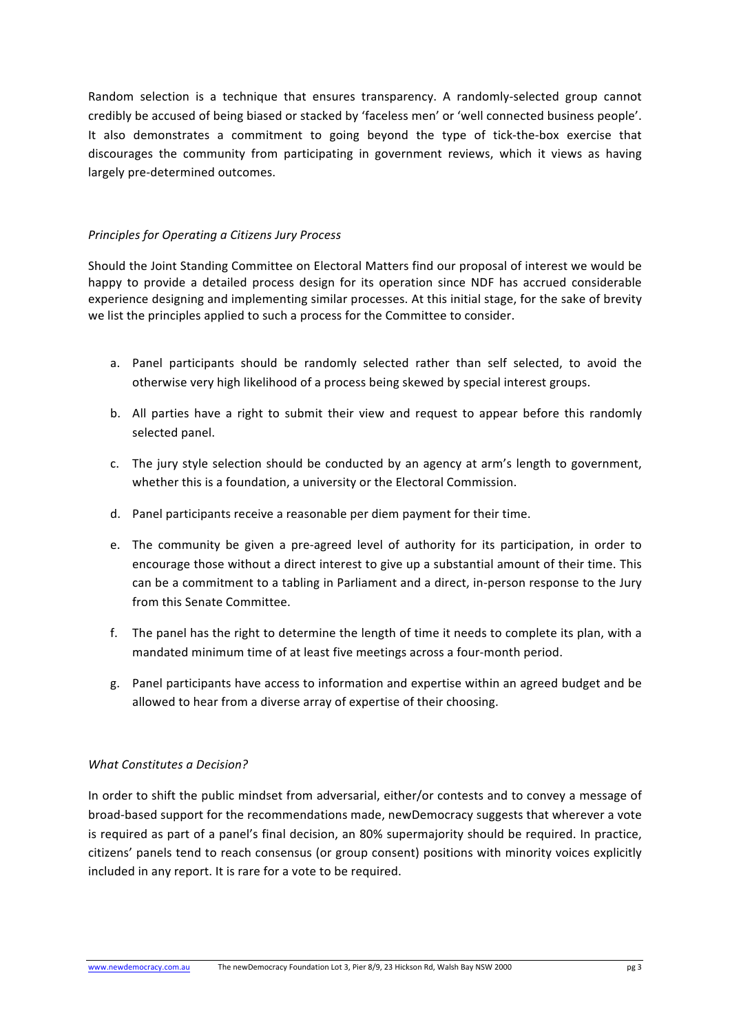Random selection is a technique that ensures transparency. A randomly-selected group cannot credibly be accused of being biased or stacked by 'faceless men' or 'well connected business people'. It also demonstrates a commitment to going beyond the type of tick-the-box exercise that discourages the community from participating in government reviews, which it views as having largely pre-determined outcomes.

### *Principles for Operating a Citizens Jury Process*

Should the Joint Standing Committee on Electoral Matters find our proposal of interest we would be happy to provide a detailed process design for its operation since NDF has accrued considerable experience designing and implementing similar processes. At this initial stage, for the sake of brevity we list the principles applied to such a process for the Committee to consider.

- a. Panel participants should be randomly selected rather than self selected, to avoid the otherwise very high likelihood of a process being skewed by special interest groups.
- b. All parties have a right to submit their view and request to appear before this randomly selected panel.
- c. The jury style selection should be conducted by an agency at arm's length to government, whether this is a foundation, a university or the Electoral Commission.
- d. Panel participants receive a reasonable per diem payment for their time.
- e. The community be given a pre-agreed level of authority for its participation, in order to encourage those without a direct interest to give up a substantial amount of their time. This can be a commitment to a tabling in Parliament and a direct, in-person response to the Jury from this Senate Committee.
- f. The panel has the right to determine the length of time it needs to complete its plan, with a mandated minimum time of at least five meetings across a four-month period.
- g. Panel participants have access to information and expertise within an agreed budget and be allowed to hear from a diverse array of expertise of their choosing.

#### *What Constitutes a Decision?*

In order to shift the public mindset from adversarial, either/or contests and to convey a message of broad-based support for the recommendations made, newDemocracy suggests that wherever a vote is required as part of a panel's final decision, an 80% supermajority should be required. In practice, citizens' panels tend to reach consensus (or group consent) positions with minority voices explicitly included in any report. It is rare for a vote to be required.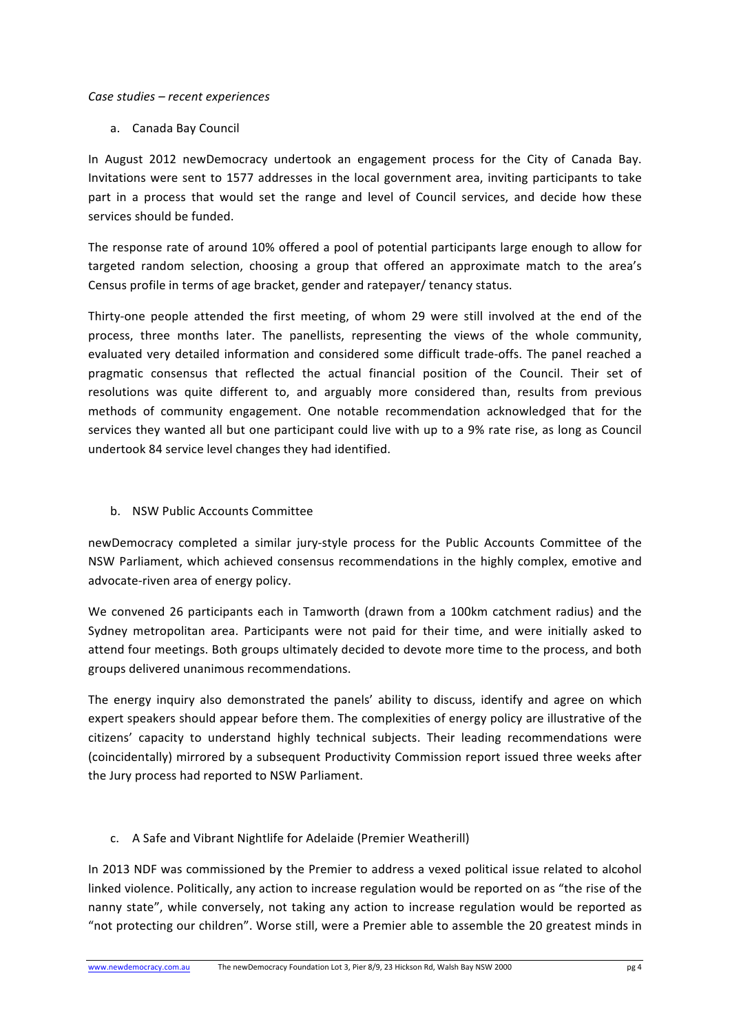#### *Case studies – recent experiences*

a. Canada Bay Council

In August 2012 newDemocracy undertook an engagement process for the City of Canada Bay. Invitations were sent to 1577 addresses in the local government area, inviting participants to take part in a process that would set the range and level of Council services, and decide how these services should be funded.

The response rate of around 10% offered a pool of potential participants large enough to allow for targeted random selection, choosing a group that offered an approximate match to the area's Census profile in terms of age bracket, gender and ratepayer/ tenancy status.

Thirty-one people attended the first meeting, of whom 29 were still involved at the end of the process, three months later. The panellists, representing the views of the whole community, evaluated very detailed information and considered some difficult trade-offs. The panel reached a pragmatic consensus that reflected the actual financial position of the Council. Their set of resolutions was quite different to, and arguably more considered than, results from previous methods of community engagement. One notable recommendation acknowledged that for the services they wanted all but one participant could live with up to a 9% rate rise, as long as Council undertook 84 service level changes they had identified.

b. NSW Public Accounts Committee

newDemocracy completed a similar jury-style process for the Public Accounts Committee of the NSW Parliament, which achieved consensus recommendations in the highly complex, emotive and advocate-riven area of energy policy.

We convened 26 participants each in Tamworth (drawn from a 100km catchment radius) and the Sydney metropolitan area. Participants were not paid for their time, and were initially asked to attend four meetings. Both groups ultimately decided to devote more time to the process, and both groups delivered unanimous recommendations.

The energy inquiry also demonstrated the panels' ability to discuss, identify and agree on which expert speakers should appear before them. The complexities of energy policy are illustrative of the citizens' capacity to understand highly technical subjects. Their leading recommendations were (coincidentally) mirrored by a subsequent Productivity Commission report issued three weeks after the Jury process had reported to NSW Parliament.

c. A Safe and Vibrant Nightlife for Adelaide (Premier Weatherill)

In 2013 NDF was commissioned by the Premier to address a vexed political issue related to alcohol linked violence. Politically, any action to increase regulation would be reported on as "the rise of the nanny state", while conversely, not taking any action to increase regulation would be reported as "not protecting our children". Worse still, were a Premier able to assemble the 20 greatest minds in